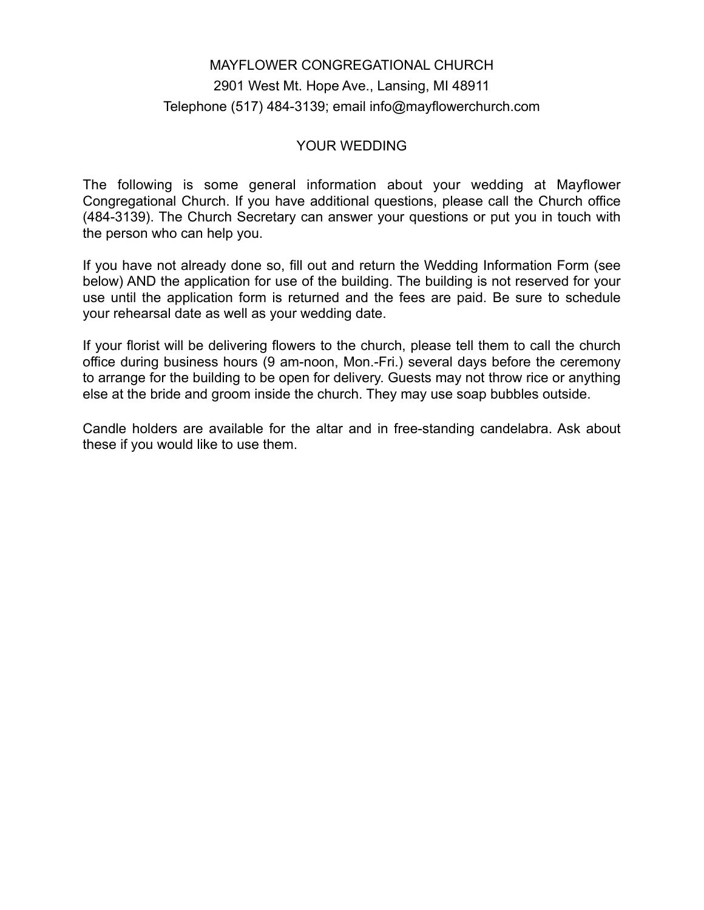## MAYFLOWER CONGREGATIONAL CHURCH 2901 West Mt. Hope Ave., Lansing, MI 48911 Telephone (517) 484-3139; email info@mayflowerchurch.com

## YOUR WEDDING

The following is some general information about your wedding at Mayflower Congregational Church. If you have additional questions, please call the Church office (484-3139). The Church Secretary can answer your questions or put you in touch with the person who can help you.

If you have not already done so, fill out and return the Wedding Information Form (see below) AND the application for use of the building. The building is not reserved for your use until the application form is returned and the fees are paid. Be sure to schedule your rehearsal date as well as your wedding date.

If your florist will be delivering flowers to the church, please tell them to call the church office during business hours (9 am-noon, Mon.-Fri.) several days before the ceremony to arrange for the building to be open for delivery. Guests may not throw rice or anything else at the bride and groom inside the church. They may use soap bubbles outside.

Candle holders are available for the altar and in free-standing candelabra. Ask about these if you would like to use them.